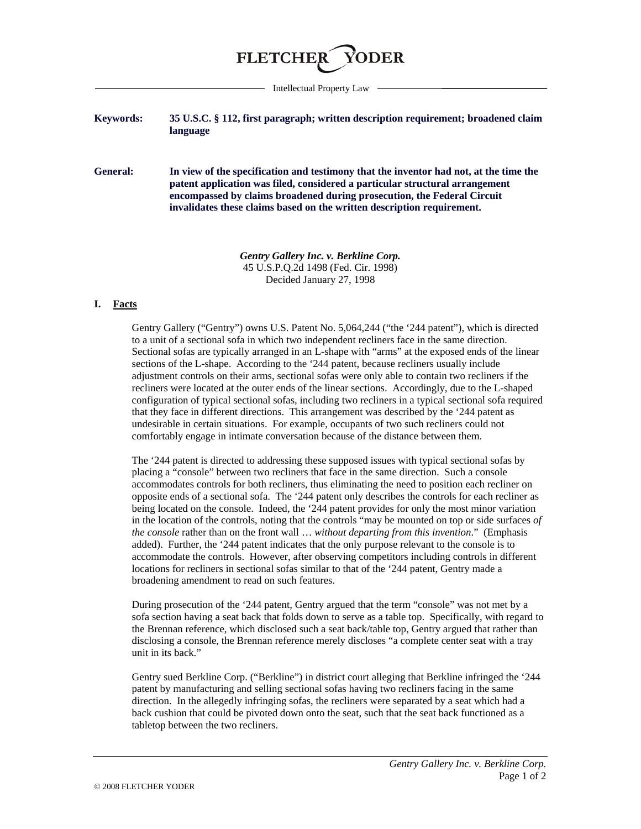

Intellectual Property Law

## **Keywords: 35 U.S.C. § 112, first paragraph; written description requirement; broadened claim language**

**General: In view of the specification and testimony that the inventor had not, at the time the patent application was filed, considered a particular structural arrangement encompassed by claims broadened during prosecution, the Federal Circuit invalidates these claims based on the written description requirement.**

> *Gentry Gallery Inc. v. Berkline Corp.* 45 U.S.P.Q.2d 1498 (Fed. Cir. 1998) Decided January 27, 1998

## **I. Facts**

Gentry Gallery ("Gentry") owns U.S. Patent No. 5,064,244 ("the '244 patent"), which is directed to a unit of a sectional sofa in which two independent recliners face in the same direction. Sectional sofas are typically arranged in an L-shape with "arms" at the exposed ends of the linear sections of the L-shape. According to the '244 patent, because recliners usually include adjustment controls on their arms, sectional sofas were only able to contain two recliners if the recliners were located at the outer ends of the linear sections. Accordingly, due to the L-shaped configuration of typical sectional sofas, including two recliners in a typical sectional sofa required that they face in different directions. This arrangement was described by the '244 patent as undesirable in certain situations. For example, occupants of two such recliners could not comfortably engage in intimate conversation because of the distance between them.

The '244 patent is directed to addressing these supposed issues with typical sectional sofas by placing a "console" between two recliners that face in the same direction. Such a console accommodates controls for both recliners, thus eliminating the need to position each recliner on opposite ends of a sectional sofa. The '244 patent only describes the controls for each recliner as being located on the console. Indeed, the '244 patent provides for only the most minor variation in the location of the controls, noting that the controls "may be mounted on top or side surfaces *of the console* rather than on the front wall … *without departing from this invention*." (Emphasis added). Further, the '244 patent indicates that the only purpose relevant to the console is to accommodate the controls. However, after observing competitors including controls in different locations for recliners in sectional sofas similar to that of the '244 patent, Gentry made a broadening amendment to read on such features.

During prosecution of the '244 patent, Gentry argued that the term "console" was not met by a sofa section having a seat back that folds down to serve as a table top. Specifically, with regard to the Brennan reference, which disclosed such a seat back/table top, Gentry argued that rather than disclosing a console, the Brennan reference merely discloses "a complete center seat with a tray unit in its back."

Gentry sued Berkline Corp. ("Berkline") in district court alleging that Berkline infringed the '244 patent by manufacturing and selling sectional sofas having two recliners facing in the same direction. In the allegedly infringing sofas, the recliners were separated by a seat which had a back cushion that could be pivoted down onto the seat, such that the seat back functioned as a tabletop between the two recliners.